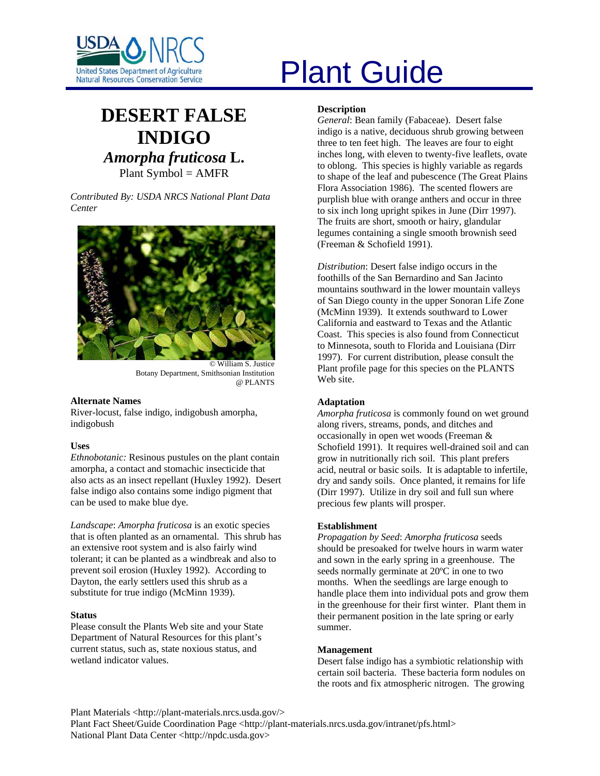

# United States Department of Agriculture<br>Natural Resources Conservation Service

# **DESERT FALSE INDIGO** *Amorpha fruticosa* **L.** Plant Symbol = AMFR

*Contributed By: USDA NRCS National Plant Data Center* 



© William S. Justice Botany Department, Smithsonian Institution @ PLANTS

#### **Alternate Names**

River-locust, false indigo, indigobush amorpha, indigobush

#### **Uses**

*Ethnobotanic:* Resinous pustules on the plant contain amorpha, a contact and stomachic insecticide that also acts as an insect repellant (Huxley 1992). Desert false indigo also contains some indigo pigment that can be used to make blue dye.

*Landscape*: *Amorpha fruticosa* is an exotic species that is often planted as an ornamental. This shrub has an extensive root system and is also fairly wind tolerant; it can be planted as a windbreak and also to prevent soil erosion (Huxley 1992). According to Dayton, the early settlers used this shrub as a substitute for true indigo (McMinn 1939).

#### **Status**

Please consult the Plants Web site and your State Department of Natural Resources for this plant's current status, such as, state noxious status, and wetland indicator values.

## **Description**

*General*: Bean family (Fabaceae). Desert false indigo is a native, deciduous shrub growing between three to ten feet high. The leaves are four to eight inches long, with eleven to twenty-five leaflets, ovate to oblong. This species is highly variable as regards to shape of the leaf and pubescence (The Great Plains Flora Association 1986). The scented flowers are purplish blue with orange anthers and occur in three to six inch long upright spikes in June (Dirr 1997). The fruits are short, smooth or hairy, glandular legumes containing a single smooth brownish seed (Freeman & Schofield 1991).

*Distribution*: Desert false indigo occurs in the foothills of the San Bernardino and San Jacinto mountains southward in the lower mountain valleys of San Diego county in the upper Sonoran Life Zone (McMinn 1939). It extends southward to Lower California and eastward to Texas and the Atlantic Coast. This species is also found from Connecticut to Minnesota, south to Florida and Louisiana (Dirr 1997). For current distribution, please consult the Plant profile page for this species on the PLANTS Web site.

#### **Adaptation**

*Amorpha fruticosa* is commonly found on wet ground along rivers, streams, ponds, and ditches and occasionally in open wet woods (Freeman & Schofield 1991). It requires well-drained soil and can grow in nutritionally rich soil. This plant prefers acid, neutral or basic soils. It is adaptable to infertile, dry and sandy soils. Once planted, it remains for life (Dirr 1997). Utilize in dry soil and full sun where precious few plants will prosper.

#### **Establishment**

*Propagation by Seed*: *Amorpha fruticosa* seeds should be presoaked for twelve hours in warm water and sown in the early spring in a greenhouse. The seeds normally germinate at 20ºC in one to two months. When the seedlings are large enough to handle place them into individual pots and grow them in the greenhouse for their first winter. Plant them in their permanent position in the late spring or early summer.

#### **Management**

Desert false indigo has a symbiotic relationship with certain soil bacteria. These bacteria form nodules on the roots and fix atmospheric nitrogen. The growing

Plant Materials <http://plant-materials.nrcs.usda.gov/>

Plant Fact Sheet/Guide Coordination Page <http://plant-materials.nrcs.usda.gov/intranet/pfs.html> National Plant Data Center <http://npdc.usda.gov>